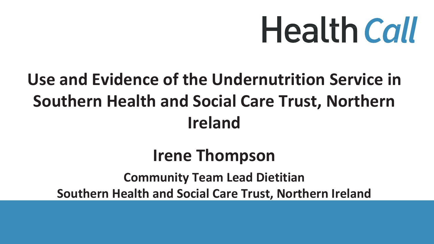# **Health Call**

### **Use and Evidence of the Undernutrition Service in Southern Health and Social Care Trust, Northern Ireland**

### **Irene Thompson Community Team Lead Dietitian Southern Health and Social Care Trust, Northern Ireland**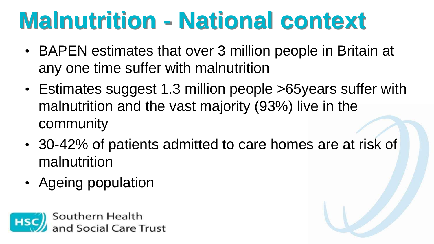## **Malnutrition - National context**

- BAPEN estimates that over 3 million people in Britain at any one time suffer with malnutrition
- Estimates suggest 1.3 million people >65years suffer with malnutrition and the vast majority (93%) live in the community
- 30-42% of patients admitted to care homes are at risk of malnutrition
- Ageing population

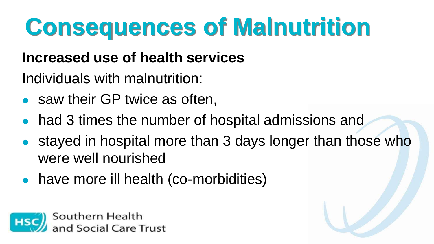# **Consequences of Malnutrition**

### **Increased use of health services**

Individuals with malnutrition:

- saw their GP twice as often,
- had 3 times the number of hospital admissions and
- stayed in hospital more than 3 days longer than those who were well nourished
- ⚫ have more ill health (co-morbidities)

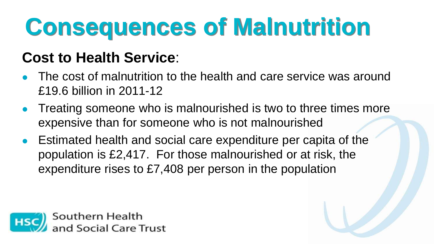# **Consequences of Malnutrition**

### **Cost to Health Service**:

- ⚫ The cost of malnutrition to the health and care service was around £19.6 billion in 2011-12
- ⚫ Treating someone who is malnourished is two to three times more expensive than for someone who is not malnourished
- ⚫ Estimated health and social care expenditure per capita of the population is £2,417. For those malnourished or at risk, the expenditure rises to £7,408 per person in the population

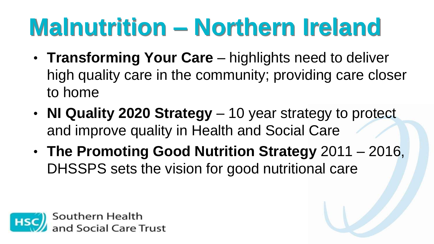## **Malnutrition – Northern Ireland**

- **Transforming Your Care**  highlights need to deliver high quality care in the community; providing care closer to home
- **NI Quality 2020 Strategy**  10 year strategy to protect and improve quality in Health and Social Care
- **The Promoting Good Nutrition Strategy** 2011 2016, DHSSPS sets the vision for good nutritional care

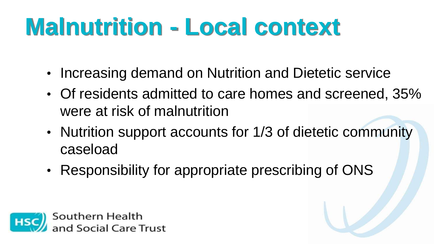# **Malnutrition - Local context**

- Increasing demand on Nutrition and Dietetic service
- Of residents admitted to care homes and screened, 35% were at risk of malnutrition
- Nutrition support accounts for 1/3 of dietetic community caseload
- Responsibility for appropriate prescribing of ONS

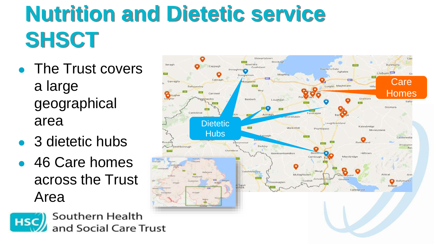## **Nutrition and Dietetic service SHSCT**

- The Trust covers a large geographical area
- 3 dietetic hubs
- 46 Care homes across the Trust Area



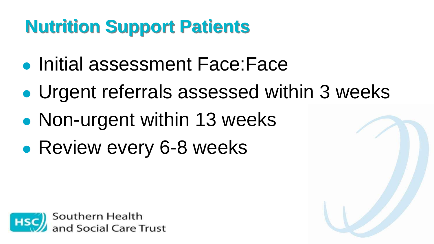### **Nutrition Support Patients**

- ⚫ Initial assessment Face:Face
- ⚫ Urgent referrals assessed within 3 weeks
- ⚫ Non-urgent within 13 weeks
- ⚫ Review every 6-8 weeks

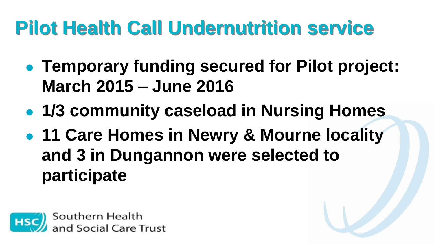### **Pilot Health Call Undernutrition service**

- ⚫ **Temporary funding secured for Pilot project: March 2015 – June 2016**
- ⚫ **1/3 community caseload in Nursing Homes**
- ⚫ **11 Care Homes in Newry & Mourne locality and 3 in Dungannon were selected to participate**

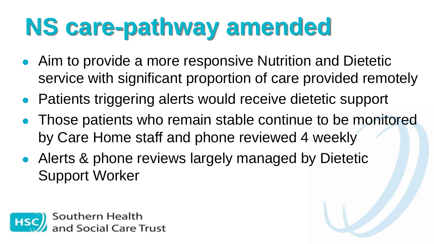# **NS care-pathway amended**

- ⚫ Aim to provide a more responsive Nutrition and Dietetic service with significant proportion of care provided remotely
- ⚫ Patients triggering alerts would receive dietetic support
- ⚫ Those patients who remain stable continue to be monitored by Care Home staff and phone reviewed 4 weekly
- ⚫ Alerts & phone reviews largely managed by Dietetic Support Worker

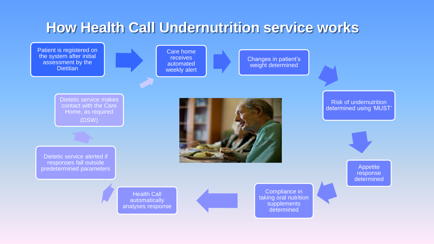### **How Health Call Undernutrition service works**



Care home receives automated weekly alert

Changes in patient's weight determined

> Compliance in taking oral nutrition supplements determined

Dietetic service makes contact with the Care Home, as required (DSW)

Dietetic service alerted if responses fall outside predetermined parameters



Risk of undernutrition determined using 'MUST'

> Appetite response determined

Health Call automatically analyses response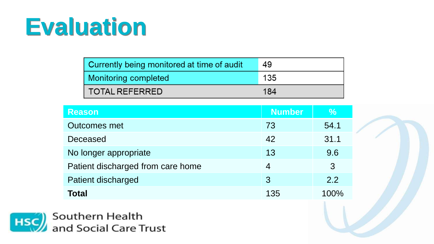| Currently being monitored at time of audit | 49  |
|--------------------------------------------|-----|
| Monitoring completed                       | 135 |
| <b>TOTAL REFERRED</b>                      | 184 |

| <b>Reason</b>                     | <b>Number</b> | $\%$ |  |
|-----------------------------------|---------------|------|--|
| <b>Outcomes met</b>               | 73            | 54.1 |  |
| Deceased                          | 42            | 31.1 |  |
| No longer appropriate             | 13            | 9.6  |  |
| Patient discharged from care home | 4             | 3    |  |
| Patient discharged                | 3             | 2.2  |  |
| <b>Total</b>                      | 135           | 100% |  |

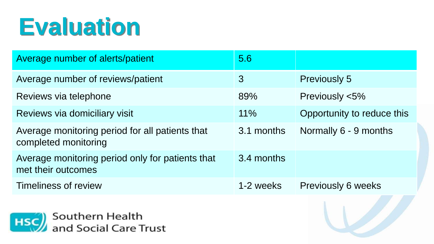| Average number of alerts/patient                                        | 5.6           |                            |
|-------------------------------------------------------------------------|---------------|----------------------------|
| Average number of reviews/patient                                       | $\mathcal{S}$ | <b>Previously 5</b>        |
| Reviews via telephone                                                   | 89%           | Previously <5%             |
| Reviews via domiciliary visit                                           | 11%           | Opportunity to reduce this |
| Average monitoring period for all patients that<br>completed monitoring | 3.1 months    | Normally 6 - 9 months      |
| Average monitoring period only for patients that<br>met their outcomes  | 3.4 months    |                            |
| Timeliness of review                                                    | 1-2 weeks     | <b>Previously 6 weeks</b>  |

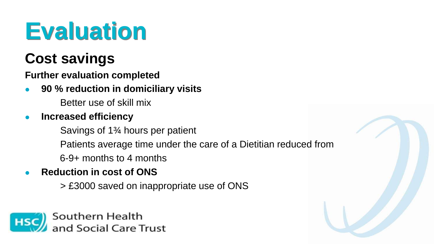### **Cost savings**

**Further evaluation completed**

⚫ **90 % reduction in domiciliary visits**

Better use of skill mix

⚫ **Increased efficiency** 

Savings of 1<sup>3</sup>/<sub>4</sub> hours per patient

Patients average time under the care of a Dietitian reduced from

6-9+ months to 4 months

- ⚫ **Reduction in cost of ONS** 
	- ✓ > £3000 saved on inappropriate use of ONS

Southern Health nd Social Care Trust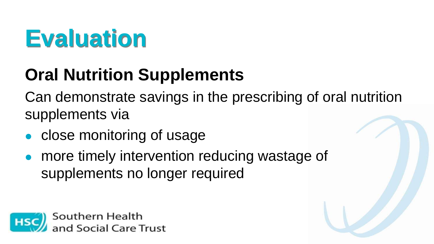### **Oral Nutrition Supplements**

Can demonstrate savings in the prescribing of oral nutrition supplements via

- ⚫ close monitoring of usage
- ⚫ more timely intervention reducing wastage of supplements no longer required

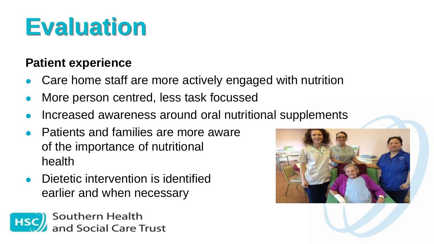### **Patient experience**

- ⚫ Care home staff are more actively engaged with nutrition
- ⚫ More person centred, less task focussed
- ⚫ Increased awareness around oral nutritional supplements
- ⚫ Patients and families are more aware of the importance of nutritional health
- Dietetic intervention is identified earlier and when necessary



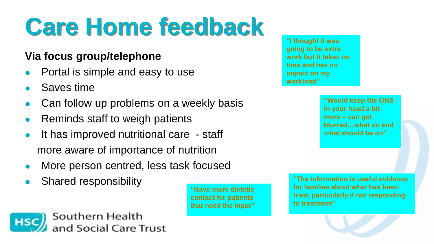# **Care Home feedback**

#### **Via focus group/telephone**

- ⚫ Portal is simple and easy to use
- ⚫ Saves time
- Can follow up problems on a weekly basis
- Reminds staff to weigh patients
- It has improved nutritional care staff more aware of importance of nutrition
- ⚫ More person centred, less task focused
- ⚫ Shared responsibility



**"Have more dietetic contact for patients that need the input"**

**"I thought it was going to be extra work but it takes no time and has no impact on my workload"**

> **"Would keep the ONS in your head a bit more – can get blurred…what on and what should be on"**

**"The information is useful evidence for families about what has been tried, particularly if not responding to treatment"**

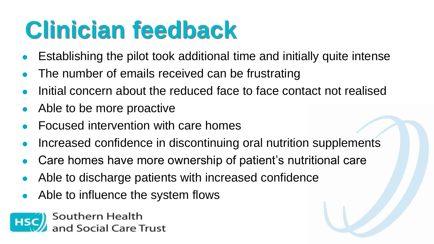## **Clinician feedback**

- ⚫ Establishing the pilot took additional time and initially quite intense
- The number of emails received can be frustrating
- ⚫ Initial concern about the reduced face to face contact not realised
- ⚫ Able to be more proactive
- ⚫ Focused intervention with care homes
- ⚫ Increased confidence in discontinuing oral nutrition supplements
- ⚫ Care homes have more ownership of patient's nutritional care
- ⚫ Able to discharge patients with increased confidence
- ⚫ Able to influence the system flows

Southern Health d Social Care Trust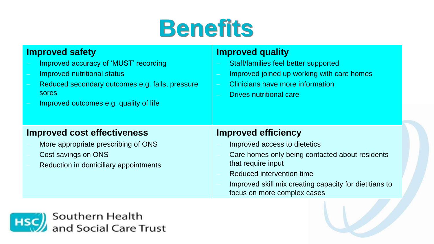### **Benefits**

#### **Improved safety**

- Improved accuracy of 'MUST' recording
- Improved nutritional status
- Reduced secondary outcomes e.g. falls, pressure sores
- Improved outcomes e.g. quality of life

#### **Improved quality**

- Staff/families feel better supported
- Improved joined up working with care homes
- Clinicians have more information
- Drives nutritional care

#### **Improved cost effectiveness**

- More appropriate prescribing of ONS
- Cost savings on ONS
- Reduction in domiciliary appointments

#### **Improved efficiency**

- Improved access to dietetics
- Care homes only being contacted about residents that require input
- Reduced intervention time
- Improved skill mix creating capacity for dietitians to focus on more complex cases

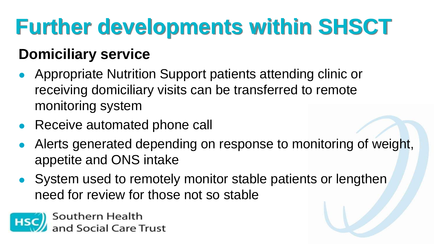## **Further developments within SHSCT**

### **Domiciliary service**

- Appropriate Nutrition Support patients attending clinic or receiving domiciliary visits can be transferred to remote monitoring system
- Receive automated phone call
- ⚫ Alerts generated depending on response to monitoring of weight, appetite and ONS intake
- System used to remotely monitor stable patients or lengthen need for review for those not so stable

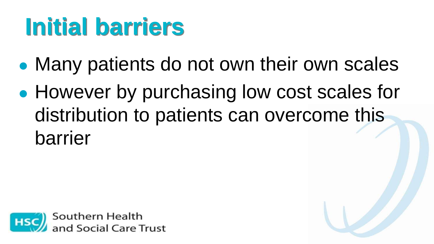## **Initial barriers**

- ⚫ Many patients do not own their own scales
- ⚫ However by purchasing low cost scales for distribution to patients can overcome this barrier

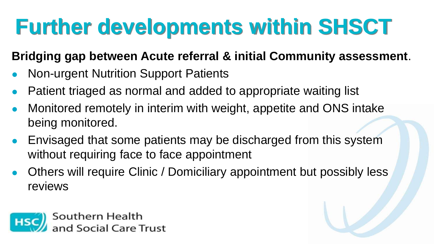### **Further developments within SHSCT**

### **Bridging gap between Acute referral & initial Community assessment**.

- ⚫ Non-urgent Nutrition Support Patients
- Patient triaged as normal and added to appropriate waiting list
- Monitored remotely in interim with weight, appetite and ONS intake being monitored.
- ⚫ Envisaged that some patients may be discharged from this system without requiring face to face appointment
- ⚫ Others will require Clinic / Domiciliary appointment but possibly less reviews

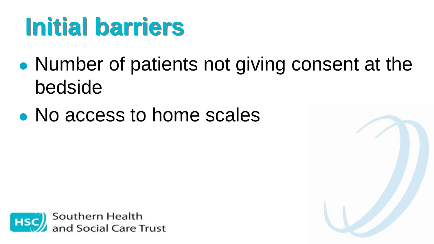## **Initial barriers**

- ⚫ Number of patients not giving consent at the bedside
- ⚫ No access to home scales



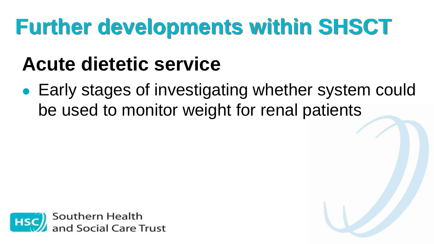### **Further developments within SHSCT**

### **Acute dietetic service**

⚫ Early stages of investigating whether system could be used to monitor weight for renal patients